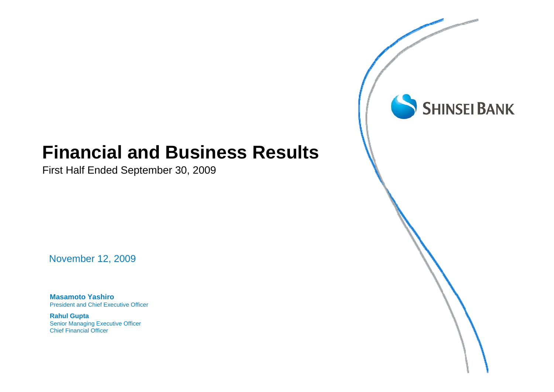# Financial and Business Results **Financial and Business Results**

First Half Ended September 30, 2009 First Half Ended September 30, 2009

November 12, 2009

**Masamoto Yashiro** President and Chief Executive Officer

**Rahul Gupta** Senior Managing Executive Officer Chief Financial Officer

SHINSEI BANK

**Concession**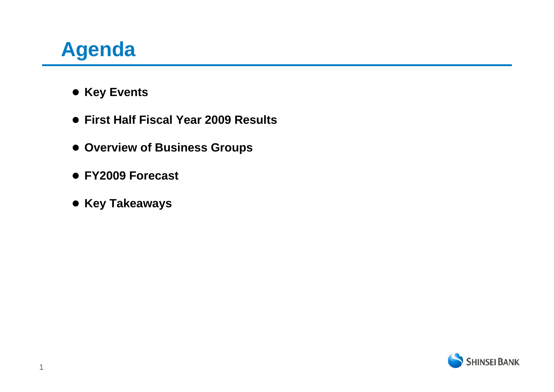# **Agenda**

- **Key Events**
- z **First Half Fiscal Year 2009 Results**
- **Overview of Business Groups**
- z **FY2009 Forecast**
- **Key Takeaways**

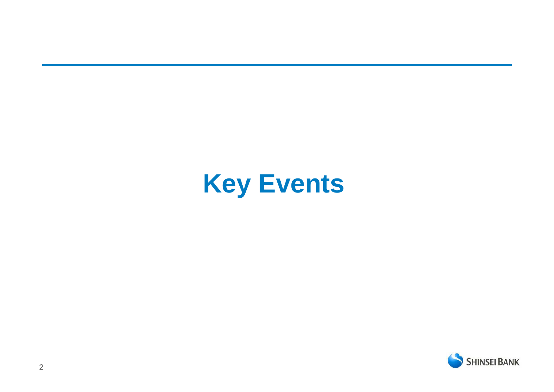# **Key Events**

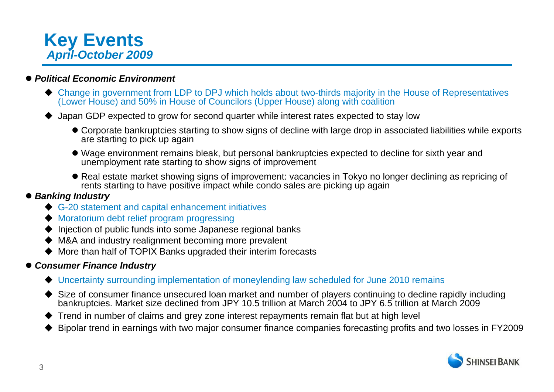

### z *Political Economic Environment*

- Change in government from LDP to DPJ which holds about two-thirds majority in the House of Representatives (Lower House) and 50% in House of Councilors (Upper House) along with coalition
- ◆ Japan GDP expected to grow for second quarter while interest rates expected to stay low
	- Corporate bankruptcies starting to show signs of decline with large drop in associated liabilities while exports are starting to pick up again
	- Wage environment remains bleak, but personal bankruptcies expected to decline for sixth year and unemployment rate starting to show signs of improvement
	- Real estate market showing signs of improvement: vacancies in Tokyo no longer declining as repricing of rents starting to have positive impact while condo sales are picking up again

### z *Banking Industry*

- ◆ G-20 statement and capital enhancement initiatives
- ◆ Moratorium debt relief program progressing
- $\blacklozenge$  Injection of public funds into some Japanese regional banks
- M&A and industry realignment becoming more prevalent
- ◆ More than half of TOPIX Banks upgraded their interim forecasts

### z *Consumer Finance Industry*

- Uncertainty surrounding implementation of moneylending law scheduled for June 2010 remains
- Size of consumer finance unsecured loan market and number of players continuing to decline rapidly including bankruptcies. Market size declined from JPY 10.5 trillion at March 2004 to JPY 6.5 trillion at March 2009
- Trend in number of claims and grey zone interest repayments remain flat but at high level
- $\blacklozenge$ Bipolar trend in earnings with two major consumer finance companies forecasting profits and two losses in FY2009

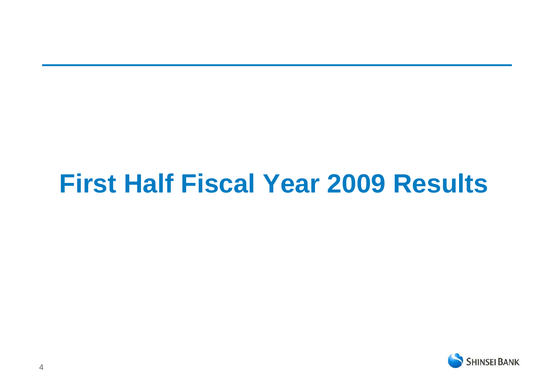# **First Half Fiscal Year 2009 Results**

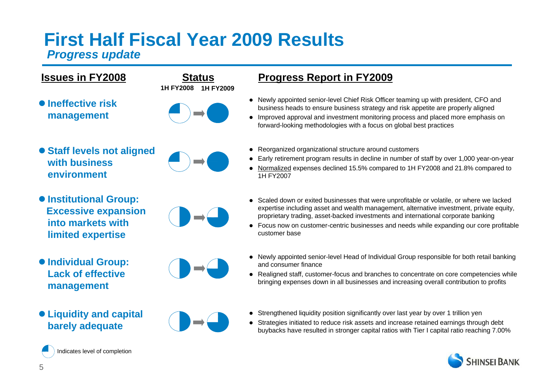# **First Half Fiscal Year 2009 Results**

### *Progress update*



 $\bullet$  **Institutional Group: Excessive expansion into markets with limited expertise** 



- $\bullet$  **Individual Group: Lack of effective management**
- z **Liquidity and capital barely adequate**



### **Progress Report in FY2009**

- Newly appointed senior-level Chief Risk Officer teaming up with president, CFO and business heads to ensure business strategy and risk appetite are properly aligned
- Improved approval and investment monitoring process and placed more emphasis on forward-looking methodologies with a focus on global best practices
- Reorganized organizational structure around customers
- Early retirement program results in decline in number of staff by over 1,000 year-on-year
- $\bullet$  Normalized expenses declined 15.5% compared to 1H FY2008 and 21.8% compared to 1H FY2007
- Scaled down or exited businesses that were unprofitable or volatile, or where we lacked expertise including asset and wealth management, alternative investment, private equity, proprietary trading, asset-backed investments and international corporate banking
- Focus now on customer-centric businesses and needs while expanding our core profitable customer base
- Newly appointed senior-level Head of Individual Group responsible for both retail banking and consumer finance
- Realigned staff, customer-focus and branches to concentrate on core competencies while bringing expenses down in all businesses and increasing overall contribution to profits
- $\bullet$ Strengthened liquidity position significantly over last year by over 1 trillion yen
- Strategies initiated to reduce risk assets and increase retained earnings through debt buybacks have resulted in stronger capital ratios with Tier I capital ratio reaching 7.00%





Indicates level of completion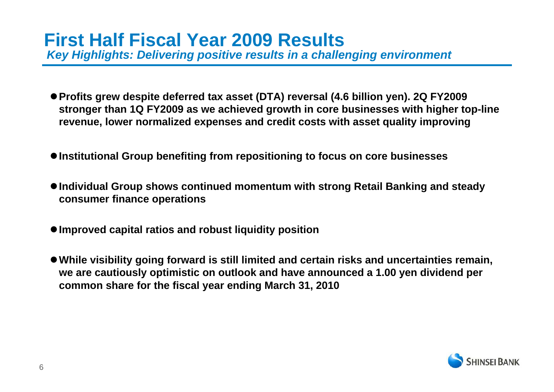*Key Highlights: Delivering positive results in a challenging environment* 

- Profits grew despite deferred tax asset (DTA) reversal (4.6 billion yen). 2Q FY2009 **stronger than 1Q FY2009 as we achieved growth in core businesses with higher top-line revenue, lower normalized expenses and credit costs with asset quality improving**
- $\bullet$  **Institutional Group benefiting from repositioning to focus on core businesses**
- Individual Group shows continued momentum with strong Retail Banking and steady **consumer finance operations**
- <sup>z</sup>**Improved capital ratios and robust liquidity position**
- <sup>z</sup>**While visibility going forward is still limited and certain risks and uncertainties remain, we are cautiously optimistic on outlook and have announced a 1.00 yen dividend per common share for the fiscal year ending March 31, 2010**

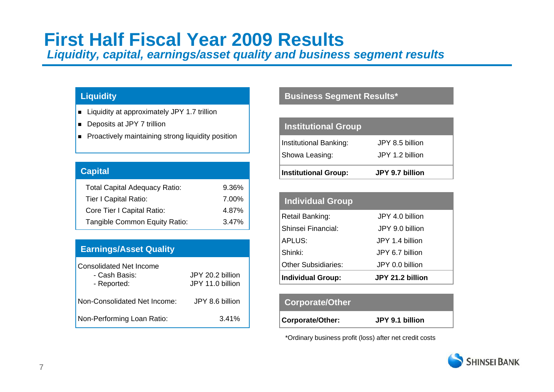## **First Half Fiscal Year 2009 Results**

*Liquidity, capital, earnings/asset quality and business segment results*

- Liquidity at approximately JPY 1.7 trillion
- Deposits at JPY 7 trillion
- Proactively maintaining strong liquidity position

| <b>Capital</b>                       |       |
|--------------------------------------|-------|
| <b>Total Capital Adequacy Ratio:</b> | 9.36% |
| <b>Tier I Capital Ratio:</b>         | 7.00% |
| Core Tier I Capital Ratio:           | 4.87% |
| Tangible Common Equity Ratio:        | 3.47% |
|                                      |       |

### **Earnings/Asset Quality**

| <b>Consolidated Net Income</b><br>- Cash Basis:<br>- Reported: | JPY 20.2 billion<br>JPY 11.0 billion |
|----------------------------------------------------------------|--------------------------------------|
| Non-Consolidated Net Income:                                   | JPY 8.6 billion                      |
| Non-Performing Loan Ratio:                                     | 3.41%                                |

### **Liquidity Business Segment Results\***

| <b>Institutional Group</b>               |                                    |
|------------------------------------------|------------------------------------|
| Institutional Banking:<br>Showa Leasing: | JPY 8.5 billion<br>JPY 1.2 billion |
| <b>Institutional Group:</b>              | JPY 9.7 billion                    |

| <b>Individual Group</b>  |                  |
|--------------------------|------------------|
| Retail Banking:          | JPY 4.0 billion  |
| Shinsei Financial:       | JPY 9.0 billion  |
| APLUS:                   | JPY 1.4 billion  |
| Shinki:                  | JPY 6.7 billion  |
| Other Subsidiaries:      | JPY 0.0 billion  |
| <b>Individual Group:</b> | JPY 21.2 billion |

### **Corporate/Other**

**Corporate/Other: JPY 9.1 billion**

\*Ordinary business profit (loss) after net credit costs

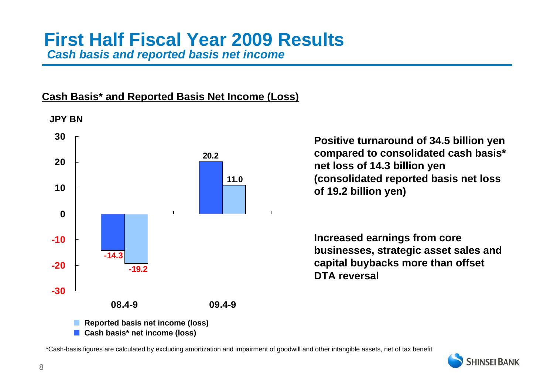### **Cash Basis\* and Reported Basis Net Income (Loss)**



**Cash basis\* net income (loss)**

**Positive turnaround of 34.5 billion yen compared to consolidated cash basis\* net loss of 14.3 billion yen (consolidated reported basis net loss of 19.2 billion yen)**

**Increased earnings from core businesses, strategic asset sales and capital buybacks more than offset DTA reversal**

\*Cash-basis figures are calculated by excluding amortization and impairment of goodwill and other intangible assets, net of tax benefit

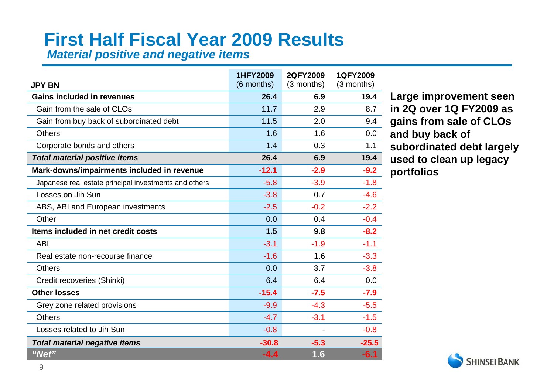# **First Half Fiscal Year 2009 Results**

*Material positive and negative items*

| <b>JPY BN</b>                                         | <b>1HFY2009</b><br>(6 months) | 2QFY2009<br>(3 months) | 1QFY2009<br>$(3$ months) |
|-------------------------------------------------------|-------------------------------|------------------------|--------------------------|
| <b>Gains included in revenues</b>                     | 26.4                          | 6.9                    | 19.4                     |
| Gain from the sale of CLOs                            | 11.7                          | 2.9                    | 8.7                      |
| Gain from buy back of subordinated debt               | 11.5                          | 2.0                    | 9.4                      |
| <b>Others</b>                                         | 1.6                           | 1.6                    | 0.0                      |
| Corporate bonds and others                            | 1.4                           | 0.3                    | 1.1                      |
| <b>Total material positive items</b>                  | 26.4                          | 6.9                    | 19.4                     |
| Mark-downs/impairments included in revenue            | $-12.1$                       | $-2.9$                 | $-9.2$                   |
| Japanese real estate principal investments and others | $-5.8$                        | $-3.9$                 | $-1.8$                   |
| Losses on Jih Sun                                     | $-3.8$                        | 0.7                    | $-4.6$                   |
| ABS, ABI and European investments                     | $-2.5$                        | $-0.2$                 | $-2.2$                   |
| Other                                                 | 0.0                           | 0.4                    | $-0.4$                   |
| Items included in net credit costs                    | 1.5                           | 9.8                    | $-8.2$                   |
| <b>ABI</b>                                            | $-3.1$                        | $-1.9$                 | $-1.1$                   |
| Real estate non-recourse finance                      | $-1.6$                        | 1.6                    | $-3.3$                   |
| <b>Others</b>                                         | 0.0                           | 3.7                    | $-3.8$                   |
| Credit recoveries (Shinki)                            | 6.4                           | 6.4                    | 0.0                      |
| <b>Other losses</b>                                   | $-15.4$                       | $-7.5$                 | $-7.9$                   |
| Grey zone related provisions                          | $-9.9$                        | $-4.3$                 | $-5.5$                   |
| <b>Others</b>                                         | $-4.7$                        | $-3.1$                 | $-1.5$                   |
| Losses related to Jih Sun                             | $-0.8$                        |                        | $-0.8$                   |
| <b>Total material negative items</b>                  | $-30.8$                       | $-5.3$                 | $-25.5$                  |
| "Net"                                                 | $-4.4$                        | 1.6                    | $-6.1$                   |

**Large improvement seen in 2Q over 1Q FY2009 as gains from sale of CLOs and buy back of subordinated debt largely used to clean up legacy portfolios** 

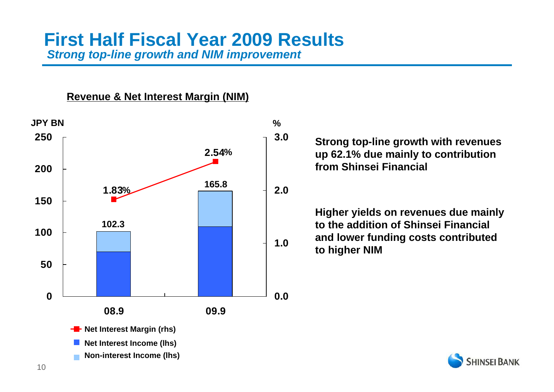### **First Half Fiscal Year 2009 Results***Strong top-line growth and NIM improvement*

### **Revenue & Net Interest Margin (NIM)**



**Strong top-line growth with revenues up 62.1% due mainly to contribution from Shinsei Financial**

**Higher yields on revenues due mainly to the addition of Shinsei Financial and lower funding costs contributed to higher NIM**

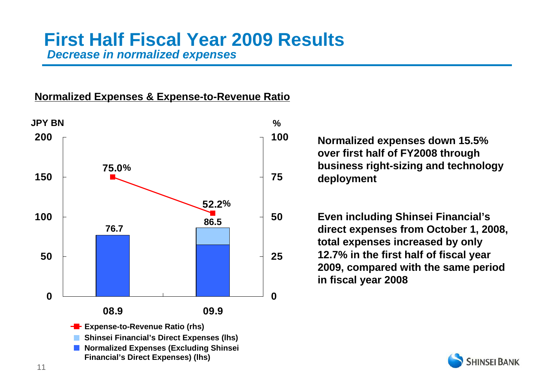### **First Half Fiscal Year 2009 Results***Decrease in normalized expenses*

### **Normalized Expenses & Expense-to-Revenue Ratio**



**Normalized expenses down 15.5% over first half of FY2008 through business right-sizing and technology deployment**

**Even including Shinsei Financial's direct expenses from October 1, 2008, total expenses increased by only 12.7% in the first half of fiscal year 2009, compared with the same period in fiscal year 2008**

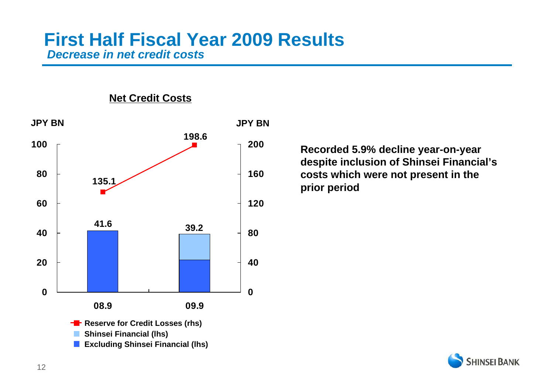### **First Half Fiscal Year 2009 Results** *Decrease in net credit costs*



**Excluding Shinsei Financial (lhs)** 

**Net Credit Costs**

**SHINSEI BANK** 

**Recorded 5.9% decline year-on-year despite inclusion of Shinsei Financial's costs which were not present in the prior period**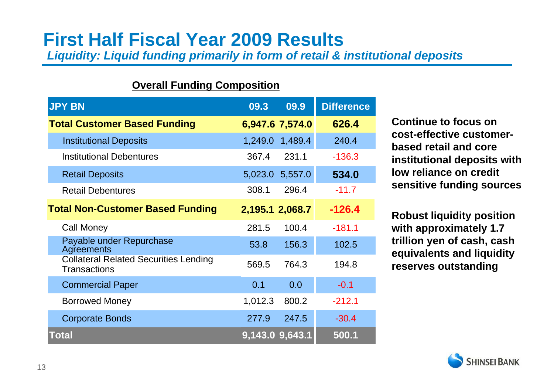# **First Half Fiscal Year 2009 Results**

*Liquidity: Liquid funding primarily in form of retail & institutional deposits*

### **Overall Funding Composition**

| <b>JPY BN</b>                                                       | 09.3            | 09.9    | <b>Difference</b> |
|---------------------------------------------------------------------|-----------------|---------|-------------------|
| <b>Total Customer Based Funding</b>                                 | 6,947.6 7,574.0 |         | 626.4             |
| <b>Institutional Deposits</b>                                       | 1,249.0         | 1,489.4 | 240.4             |
| <b>Institutional Debentures</b>                                     | 367.4           | 231.1   | $-136.3$          |
| <b>Retail Deposits</b>                                              | 5,023.0         | 5,557.0 | 534.0             |
| <b>Retail Debentures</b>                                            | 308.1           | 296.4   | $-11.7$           |
| <b>Total Non-Customer Based Funding</b>                             | 2,195.1 2,068.7 |         | $-126.4$          |
| <b>Call Money</b>                                                   | 281.5           | 100.4   | $-181.1$          |
| Payable under Repurchase<br>Agreements                              | 53.8            | 156.3   | 102.5             |
| <b>Collateral Related Securities Lending</b><br><b>Transactions</b> | 569.5           | 764.3   | 194.8             |
| <b>Commercial Paper</b>                                             | 0.1             | 0.0     | $-0.1$            |
| <b>Borrowed Money</b>                                               | 1,012.3         | 800.2   | $-212.1$          |
| <b>Corporate Bonds</b>                                              | 277.9           | 247.5   | $-30.4$           |
| Total                                                               | 9,143.0 9,643.1 |         | 500.1             |

**Continue to focus on cost-effective customerbased retail and core institutional deposits with low reliance on credit sensitive funding sources**

**Robust liquidity position with approximately 1.7 trillion yen of cash, cash equivalents and liquidity reserves outstanding**

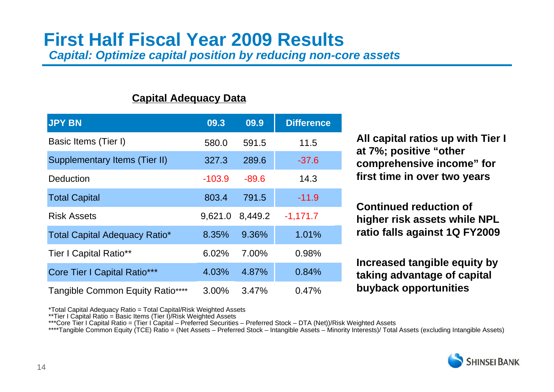### **First Half Fiscal Year 2009 Results***Capital: Optimize capital position by reducing non-core assets*

### **Capital Adequacy Data**

| <b>JPY BN</b>                        | 09.3     | 09.9    | <b>Difference</b> |
|--------------------------------------|----------|---------|-------------------|
| Basic Items (Tier I)                 | 580.0    | 591.5   | 11.5              |
| Supplementary Items (Tier II)        | 327.3    | 289.6   | $-37.6$           |
| <b>Deduction</b>                     | $-103.9$ | $-89.6$ | 14.3              |
| <b>Total Capital</b>                 | 803.4    | 791.5   | $-11.9$           |
| <b>Risk Assets</b>                   | 9,621.0  | 8,449.2 | $-1,171.7$        |
| <b>Total Capital Adequacy Ratio*</b> | 8.35%    | 9.36%   | 1.01%             |
| <b>Tier I Capital Ratio**</b>        | 6.02%    | 7.00%   | 0.98%             |
| <b>Core Tier I Capital Ratio***</b>  | 4.03%    | 4.87%   | 0.84%             |
| Tangible Common Equity Ratio****     | 3.00%    | 3.47%   | 0.47%             |

**All capital ratios up with Tier I at 7%; positive "other comprehensive income" for first time in over two years** 

**Continued reduction of higher risk assets while NPL ratio falls against 1Q FY2009**

**Increased tangible equity by taking advantage of capital buyback opportunities**

\*Total Capital Adequacy Ratio = Total Capital/Risk Weighted Assets

\*\*Tier I Capital Ratio = Basic Items (Tier I)/Risk Weighted Assets

\*\*\*Core Tier I Capital Ratio = (Tier I Capital – Preferred Securities – Preferred Stock – DTA (Net))/Risk Weighted Assets

\*\*\*\*Tangible Common Equity (TCE) Ratio = (Net Assets – Preferred Stock – Intangible Assets – Minority Interests)/ Total Assets (excluding Intangible Assets)

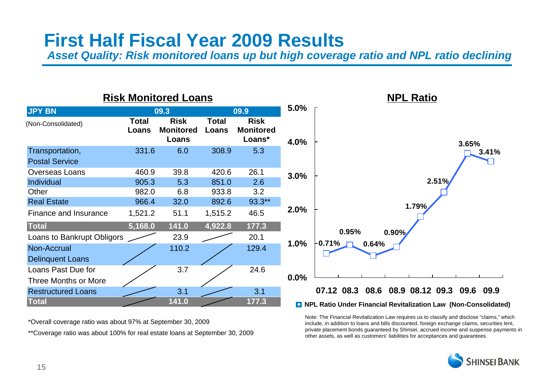## **First Half Fiscal Year 2009 Results**

*Asset Quality: Risk monitored loans up but high coverage ratio and NPL ratio declining*

### **Risk Monitored Loans**



\*\*Coverage ratio was about 100% for real estate loans at September 30, 2009 \*Overall coverage ratio was about 97% at September 30, 2009

Note: The Financial Revitalization Law requires us to classify and disclose "claims," which include, in addition to loans and bills discounted, foreign exchange claims, securities lent, private placement bonds guaranteed by Shinsei, accrued income and suspense payments in other assets, as well as customers' liabilities for acceptances and guarantees.

**NPL Ratio**

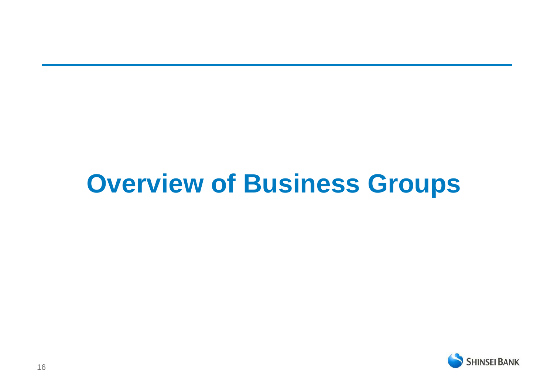# **Overview of Business Groups**

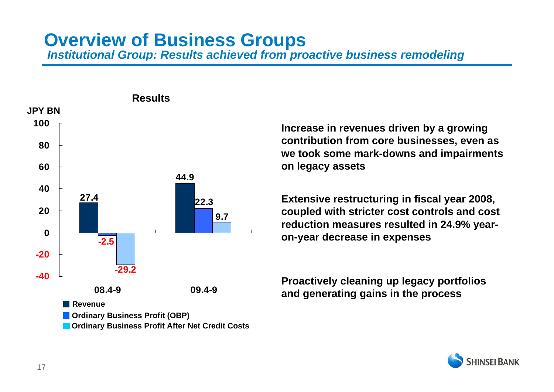### **Overview of Business Groups** *Institutional Group: Results achieved from proactive business remodeling*



**Increase in revenues driven by a growing contribution from core businesses, even as we took some mark-downs and impairments on legacy assets**

**Extensive restructuring in fiscal year 2008, coupled with stricter cost controls and cost reduction measures resulted in 24.9% yearon-year decrease in expenses**

**Proactively cleaning up legacy portfolios and generating gains in the process**

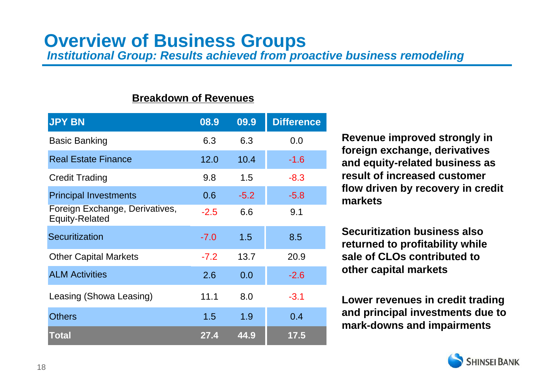# **Overview of Business Groups**

*Institutional Group: Results achieved from proactive business remodeling*

### **Breakdown of Revenues**

| <b>JPY BN</b>                                           | 08.9   | 09.9   | <b>Difference</b> |
|---------------------------------------------------------|--------|--------|-------------------|
| <b>Basic Banking</b>                                    | 6.3    | 6.3    | 0.0               |
| <b>Real Estate Finance</b>                              | 12.0   | 10.4   | $-1.6$            |
| <b>Credit Trading</b>                                   | 9.8    | 1.5    | $-8.3$            |
| <b>Principal Investments</b>                            | 0.6    | $-5.2$ | $-5.8$            |
| Foreign Exchange, Derivatives,<br><b>Equity-Related</b> | $-2.5$ | 6.6    | 9.1               |
| Securitization                                          | $-7.0$ | 1.5    | 8.5               |
| <b>Other Capital Markets</b>                            | $-7.2$ | 13.7   | 20.9              |
| <b>ALM Activities</b>                                   | 2.6    | 0.0    | $-2.6$            |
| Leasing (Showa Leasing)                                 | 11.1   | 8.0    | $-3.1$            |
| <b>Others</b>                                           | 1.5    | 1.9    | 0.4               |
| <b>Total</b>                                            | 27.4   | 44.9   | 17.5              |

**Revenue improved strongly in foreign exchange, derivatives and equity-related business as result of increased customer flow driven by recovery in credit markets** 

**Securitization business also returned to profitability while sale of CLOs contributed to other capital markets** 

**Lower revenues in credit trading and principal investments due to mark-downs and impairments**

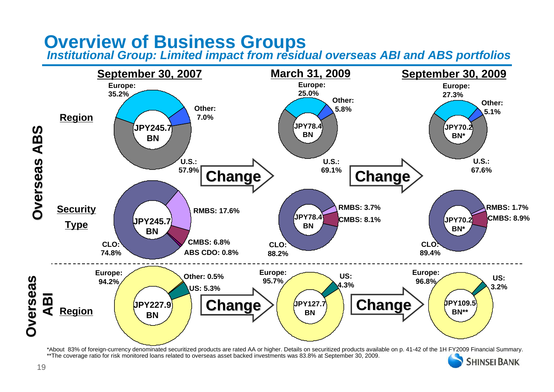**Overview of Business Groups** *Institutional Group: Limited impact from residual overseas ABI and ABS portfolios*



\*About 83% of foreign-currency denominated securitized products are rated AA or higher. Details on securitized products available on p. 41-42 of the 1H FY2009 Financial Summary. \*\*The coverage ratio for risk monitored loans related to overseas asset backed investments was 83.8% at September 30, 2009. **SHINSEI BANK**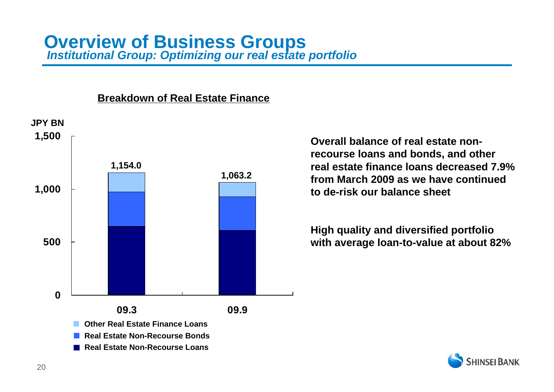# **Overview of Business Groups** *Institutional Group: Optimizing our real estate portfolio*

# **05001,000 1,500 09.3 09.9JPY BN1,154.0 1,063.2 Real Estate Non-Recourse BondsOther Real Estate Finance Loans**

### **Breakdown of Real Estate Finance**

**Real Estate Non-Recourse Loans**

**Overall balance of real estate nonrecourse loans and bonds, and other real estate finance loans decreased 7.9% from March 2009 as we have continued to de-risk our balance sheet**

**High quality and diversified portfolio with average loan-to-value at about 82%**

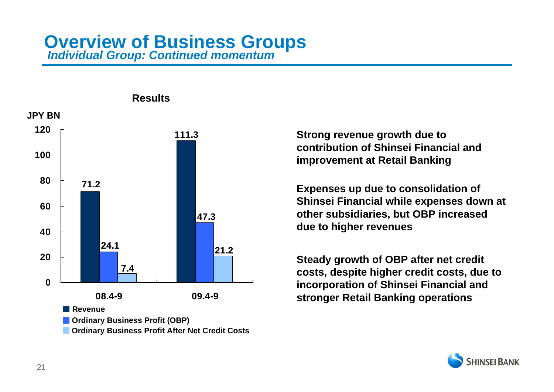# **Overview of Business Groups** *Individual Group: Continued momentum*



### **Results**

**Strong revenue growth due to contribution of Shinsei Financial and improvement at Retail Banking**

**Expenses up due to consolidation of Shinsei Financial while expenses down at other subsidiaries, but OBP increased due to higher revenues**

**Steady growth of OBP after net credit costs, despite higher credit costs, due to incorporation of Shinsei Financial and stronger Retail Banking operations**

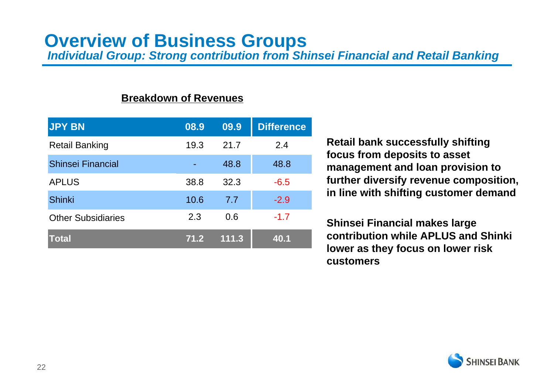## **Overview of Business Groups**

*Individual Group: Strong contribution from Shinsei Financial and Retail Banking*

### **Breakdown of Revenues**

| <b>JPY BN</b>             | 08.9 | 09.9  | <b>Difference</b> |
|---------------------------|------|-------|-------------------|
| <b>Retail Banking</b>     | 19.3 | 21.7  | 2.4               |
| <b>Shinsei Financial</b>  |      | 48.8  | 48.8              |
| <b>APLUS</b>              | 38.8 | 32.3  | $-6.5$            |
| <b>Shinki</b>             | 10.6 | 7.7   | $-2.9$            |
| <b>Other Subsidiaries</b> | 2.3  | 0.6   | $-1.7$            |
| <b>Total</b>              | 71.2 | 111.3 | 40.1              |

**Retail bank successfully shifting focus from deposits to asset management and loan provision to further diversify revenue composition, in line with shifting customer demand**

**Shinsei Financial makes large contribution while APLUS and Shinki lower as they focus on lower risk customers**

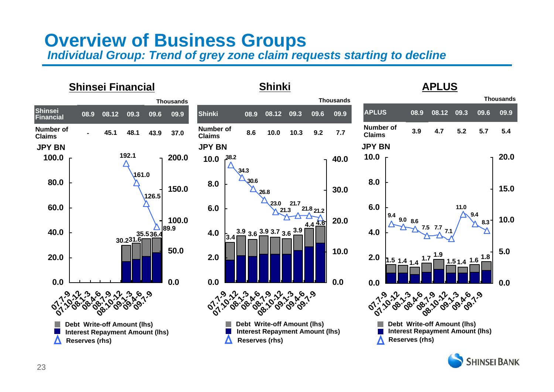### **Overview of Business Groups** *Individual Group: Trend of grey zone claim requests starting to decline*

### **Shinki Shinsei Financial APLUSThousandsThousandsThousandsAPLUS Shinsei Financial08.1208.9Shinki08.9**09.6 **09.608.12 09.3 09.9 09.309.609.908.909.309.9 09.608.12 Number of Claims Number of Claims Number of Claims4.75.23.95.75.445.137.08.610.010.348.143.99.27.7JPY BNJPY BNJPY BN192.110.0 20.0 100.0 200.0 38.2 10.0 40.0 34.3161.080.08.030.68.0 150.015.030.026.8126.5 21.723.06.06.011.060.0 21.2 21.8 21.39.49.410.0100.020.09.0 8.6 8.3 4.64.4 7.5 7.7 89.9 40.03.9 3.6 3.9 3.7 3.6 3.9 4.07.14.0 35.536.4 3.430.2 31.6 50.05.010.0 1.7 1.9 1.4 1.5 2.020.0 2.0 1.6 1.7 1.81.51.4**<u>2</u> 1.4 1.4 **0.00.00.00.00.00.007.7-9 07.10-12 08.1-3 08.4-6 08.7-9 08.10-12 09.1-3 09.4-6 09.7-9 07.7-9 07.10-12 08.1-3 08.4-6 08.7-9 08.10-12 09.1-3 09.4-6 09.7-9 07.7-9 07.10-12 08.1-3 08.4-6 08.7-9 08.10-12 09.1-3 09.4-6 09.7-9 Debt Write-off Amount (lhs) Debt Write-off Amount (lhs) Debt Write-off Amount (lhs)**  $\mathbb{R}^n$ in 1 **Interest Repayment Amount (lhs)**  $\mathcal{L}_{\mathcal{A}}$ **Interest Repayment Amount (lhs)**  $\mathbb{R}^n$ **Interest Repayment Amount (lhs)**  $\mathbf{r}$ **Reserves (rhs)** Λ **Reserves (rhs) Reserves (rhs)**

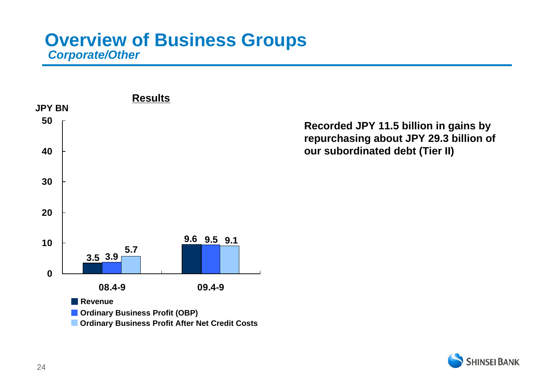### **Overview of Business Groups** *Corporate/Other*



### **Recorded JPY 11.5 billion in gains by repurchasing about JPY 29.3 billion of our subordinated debt (Tier II)**

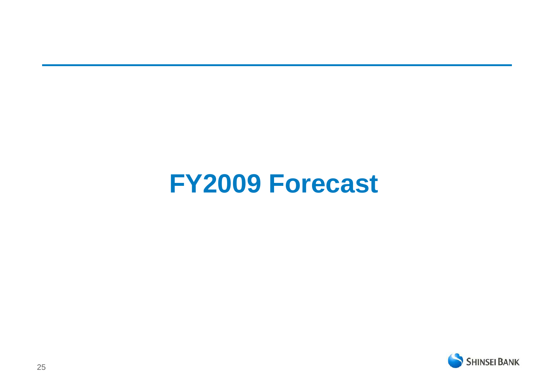# **FY2009 Forecast**

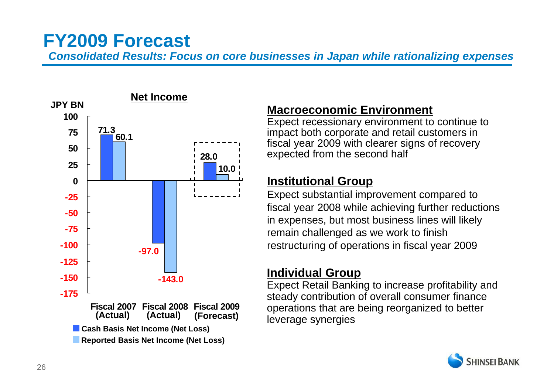## **FY2009 Forecast**

*Consolidated Results: Focus on core businesses in Japan while rationalizing expenses*



### **Macroeconomic Environment**

Expect recessionary environment to continue to impact both corporate and retail customers in fiscal year 2009 with clearer signs of recovery expected from the second half

### **Institutional Group**

Expect substantial improvement compared to fiscal year 2008 while achieving further reductions in expenses, but most business lines will likely remain challenged as we work to finish restructuring of operations in fiscal year 2009

### **Individual Group**

Expect Retail Banking to increase profitability and steady contribution of overall consumer finance operations that are being reorganized to better leverage synergies

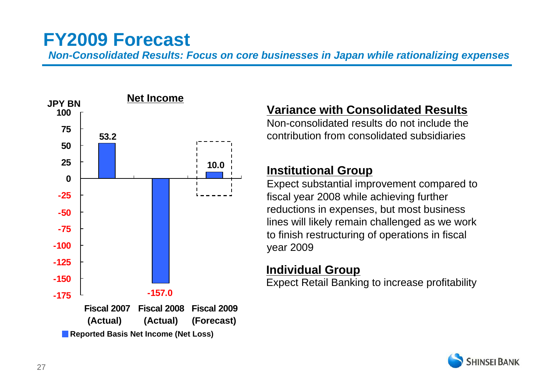## **FY2009 Forecast**

*Non-Consolidated Results: Focus on core businesses in Japan while rationalizing expenses*



### **Variance with Consolidated Results**

Non-consolidated results do not include the contribution from consolidated subsidiaries

### **Institutional Group**

Expect substantial improvement compared to fiscal year 2008 while achieving further reductions in expenses, but most business lines will likely remain challenged as we work to finish restructuring of operations in fiscal year 2009

### **Individual Group**

Expect Retail Banking to increase profitability

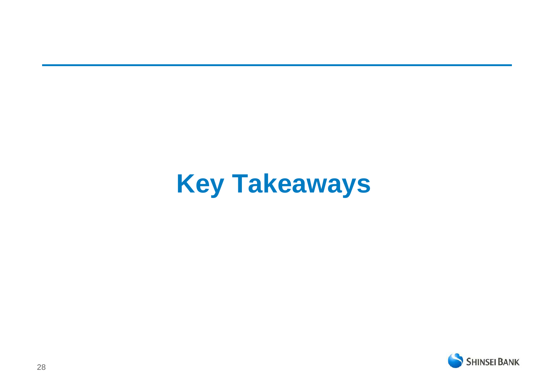# **Key Takeaways**

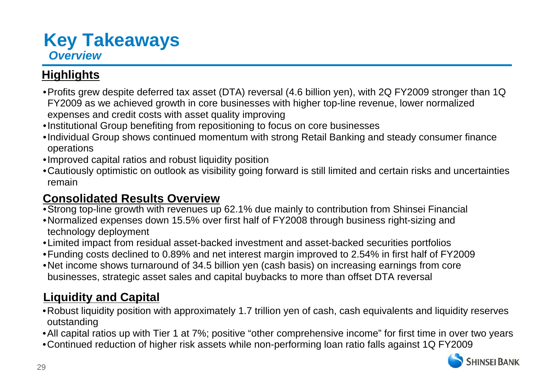## **Key Takeaways** *Overview*

### **Highlights**

- •Profits grew despite deferred tax asset (DTA) reversal (4.6 billion yen), with 2Q FY2009 stronger than 1Q FY2009 as we achieved growth in core businesses with higher top-line revenue, lower normalized expenses and credit costs with asset quality improving
- •Institutional Group benefiting from repositioning to focus on core businesses
- •Individual Group shows continued momentum with strong Retail Banking and steady consumer finance operations
- •Improved capital ratios and robust liquidity position
- •Cautiously optimistic on outlook as visibility going forward is still limited and certain risks and uncertainties remain

### **Consolidated Results Overview**

- •Strong top-line growth with revenues up 62.1% due mainly to contribution from Shinsei Financial
- •Normalized expenses down 15.5% over first half of FY2008 through business right-sizing and technology deployment
- •Limited impact from residual asset-backed investment and asset-backed securities portfolios
- •Funding costs declined to 0.89% and net interest margin improved to 2.54% in first half of FY2009
- •Net income shows turnaround of 34.5 billion yen (cash basis) on increasing earnings from core businesses, strategic asset sales and capital buybacks to more than offset DTA reversal

### **Liquidity and Capital**

- •Robust liquidity position with approximately 1.7 trillion yen of cash, cash equivalents and liquidity reserves outstanding
- •All capital ratios up with Tier 1 at 7%; positive "other comprehensive income" for first time in over two years
- •Continued reduction of higher risk assets while non-performing loan ratio falls against 1Q FY2009

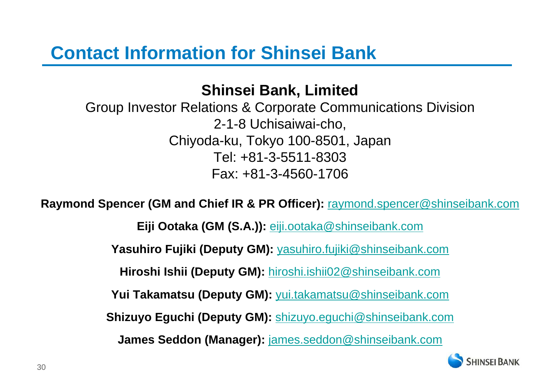## **Shinsei Bank, Limited**

Group Investor Relations & Corporate Communications Division 2-1-8 Uchisaiwai-cho, Chiyoda-ku, Tokyo 100-8501, Japan Tel: +81-3-5511-8303 Fax: +81-3-4560-1706

**Raymond Spencer (GM and Chief IR & PR Officer):** raymond.spencer@shinseibank.com

**Eiji Ootaka (GM (S.A.)):** eiji.ootaka@shinseibank.com

**Yasuhiro Fujiki (Deputy GM):** yasuhiro.fujiki@shinseibank.com

**Hiroshi Ishii (Deputy GM):** hiroshi.ishii02@shinseibank.com

**Yui Takamatsu (Deputy GM):** yui.takamatsu@shinseibank.com

**Shizuyo Eguchi (Deputy GM):** shizuyo.eguchi@shinseibank.com

**James Seddon (Manager):** james.seddon@shinseibank.com